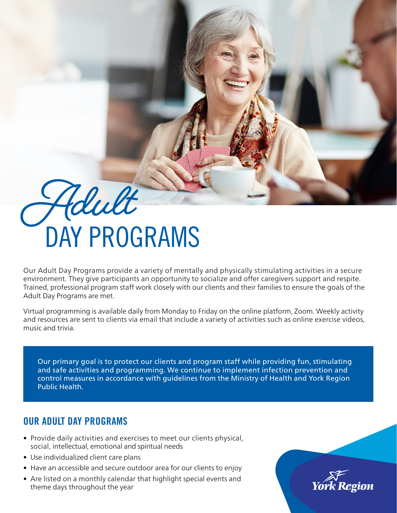# **Adult** DAY PROGRAMS

Our Adult Day Programs provide a variety of mentally and physically stimulating activities in a secure environment. They give participants an opportunity to socialize and offer caregivers support and respite. Trained, professional program staff work closely with our clients and their families to ensure the goals of the Adult Day Programs are met.

Virtual programming is available daily from Monday to Friday on the online platform, Zoom. Weekly activity and resources are sent to clients via email that include a variety of activities such as online exercise videos, music and trivia.

Our primary goal is to protect our clients and program staff while providing fun, stimulating and safe activities and programming. We continue to implement infection prevention and control measures in accordance with guidelines from the Ministry of Health and York Region Public Health.

# OUR ADULT DAY PROGRAMS

- Provide daily activities and exercises to meet our clients physical, social, intellectual, emotional and spiritual needs
- Use individualized client care plans
- Have an accessible and secure outdoor area for our clients to enjoy
- Are listed on a monthly calendar that highlight special events and theme days throughout the year